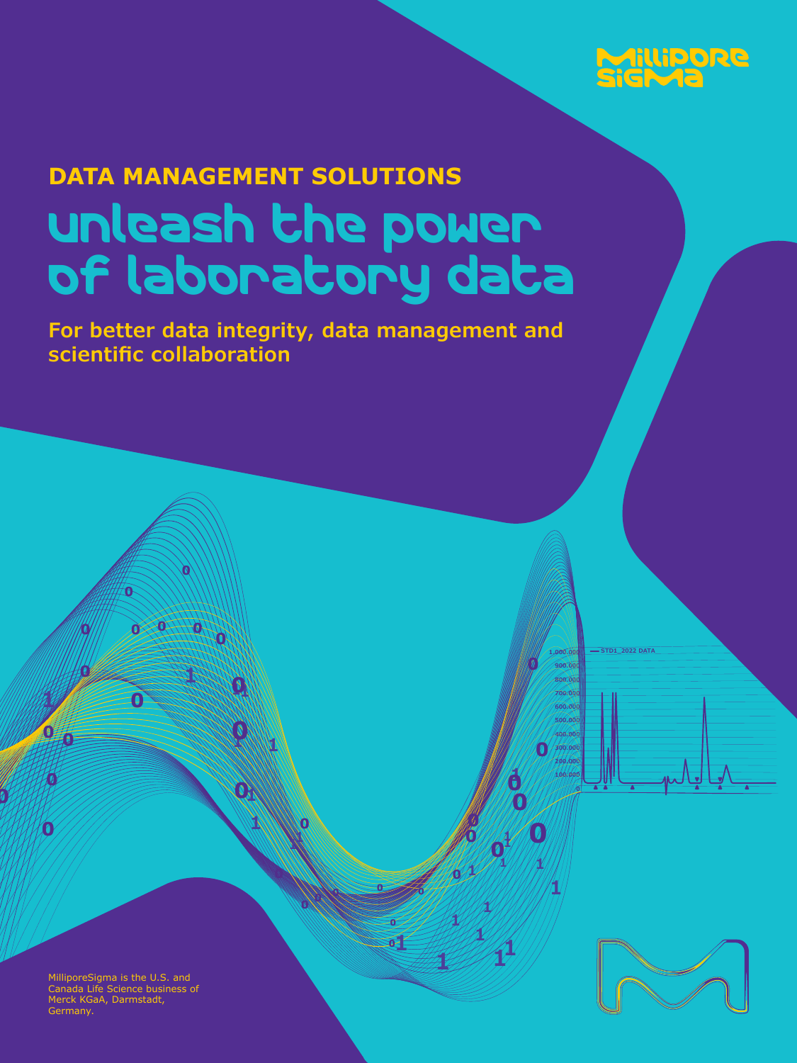

# **DATA MANAGEMENT SOLUTIONS**  Unleash the power of laboratory data

**For better data integrity, data management and scientific collaboration**

**1**

**11**

**<sup>0</sup> <sup>0</sup> <sup>0</sup>**

**1**

 

**1**

**0**

**<sup>0</sup> <sup>0</sup> <sup>0</sup>**

**<sup>1</sup> <sup>1</sup> <sup>1</sup>**

**1**

MilliporeSigma is the U.S. and Canada Life Science business of Merck KGaA, Darmstadt, Germany.

17<br>17. 31<br>122



**1.000.000 900.000 800.000**

**STD1\_2022 DATA**

**600.000 500.000 400.000 300.000 200.000 100.000**

**1**

**1 1 <sup>0</sup>**

**700.000**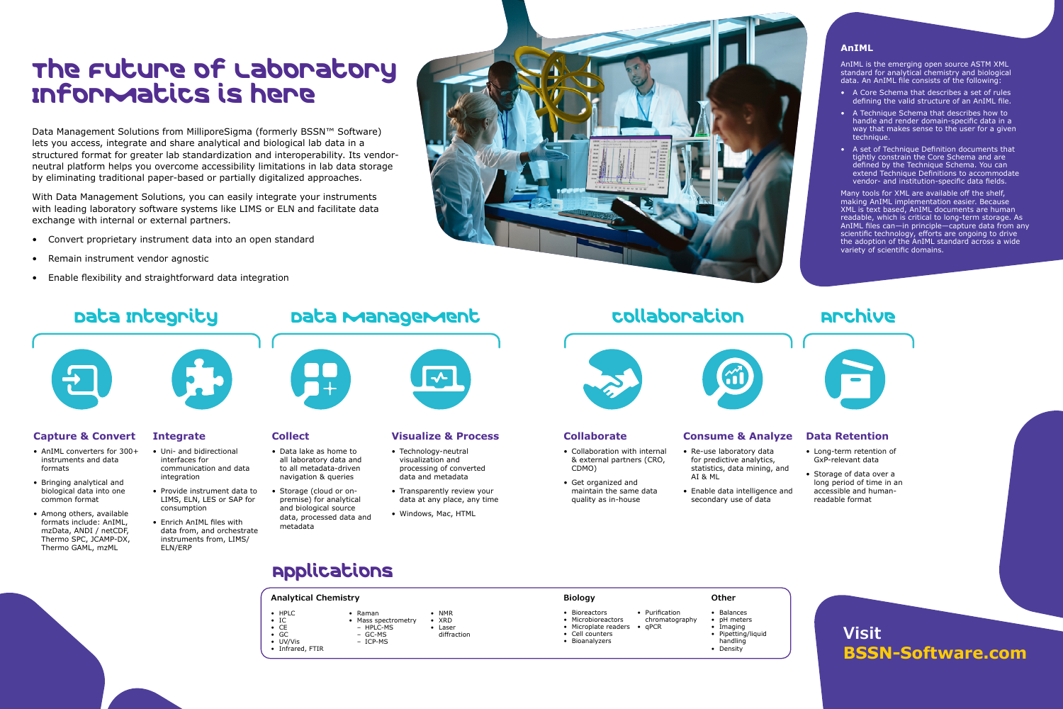## **Visit BSSN-Software.com**

### **Visualize & Process**

- Technology-neutral visualization and processing of converted data and metadata
- Transparently review your data at any place, any time
- Windows, Mac, HTML

### **Collaborate**

- Collaboration with internal & external partners (CRO, CDMO)
- Get organized and maintain the same data quality as in-house



### **Consume & Analyze**

- Re-use laboratory data for predictive analytics, statistics, data mining, and AI & ML
- Enable data intelligence and secondary use of data

#### **Data Retention**

- Long-term retention of GxP-relevant data
- Storage of data over a long period of time in an accessible and humanreadable format

# The Future of Laboratory Informatics is here

Data Management Solutions from MilliporeSigma (formerly BSSN™ Software) lets you access, integrate and share analytical and biological lab data in a structured format for greater lab standardization and interoperability. Its vendorneutral platform helps you overcome accessibility limitations in lab data storage by eliminating traditional paper-based or partially digitalized approaches.

With Data Management Solutions, you can easily integrate your instruments with leading laboratory software systems like LIMS or ELN and facilitate data exchange with internal or external partners.

- Convert proprietary instrument data into an open standard
- Remain instrument vendor agnostic
- Enable flexibility and straightforward data integration

# Data Integrity Data Management Collaboration Prohive



#### **AnIML**

AnIML is the emerging open source ASTM XML standard for analytical chemistry and biological data. An AnIML file consists of the following:

- A Core Schema that describes a set of rules defining the valid structure of an AnIML file.
- A Technique Schema that describes how to handle and render domain-specific data in a way that makes sense to the user for a given technique.
- A set of Technique Definition documents that tightly constrain the Core Schema and are defined by the Technique Schema. You can extend Technique Definitions to accommodate vendor- and institution-specific data fields.

Many tools for XML are available off the shelf, making AnIML implementation easier. Because XML is text based, AnIML documents are human readable, which is critical to long-term storage. As AnIML files can—in principle—capture data from any scientific technology, efforts are ongoing to drive the adoption of the AnIML standard across a wide variety of scientific domains.



### **Collect**

- Data lake as home to all laboratory data and to all metadata-driven navigation & queries
- Storage (cloud or onpremise) for analytical and biological source data, processed data and metadata

### **Capture & Convert**

- AnIML converters for 300+ instruments and data formats
- Bringing analytical and biological data into one common format
- Among others, available formats include: AnIML, mzData, ANDI / netCDF, Thermo SPC, JCAMP-DX, Thermo GAML, mzML

### **Integrate**

- Uni- and bidirectional interfaces for communication and data integration
- Provide instrument data to LIMS, ELN, LES or SAP for consumption
- Enrich AnIML files with data from, and orchestrate instruments from, LIMS/ ELN/ERP



## Applications

• GC • UV/Vis • Infrared, FTIR

– ICP-MS



#### **Analytical Chemistry**

- Bioreactors
- Microbioreactors
- Microplate readers • Cell counters
- Bioanalyzers
	-
- HPLC • IC • CE • Raman
	- Mass spectrometry  $-$  HPIC-MS – GC-MS • Laser
		- diffraction

• Purification chromatography

• qPCR

### **Biology**

- Balances • **pH** meters
- Imaging
- Pipetting/liquid
- handling
- Density

- -

### **Other**

• NMR • XRD